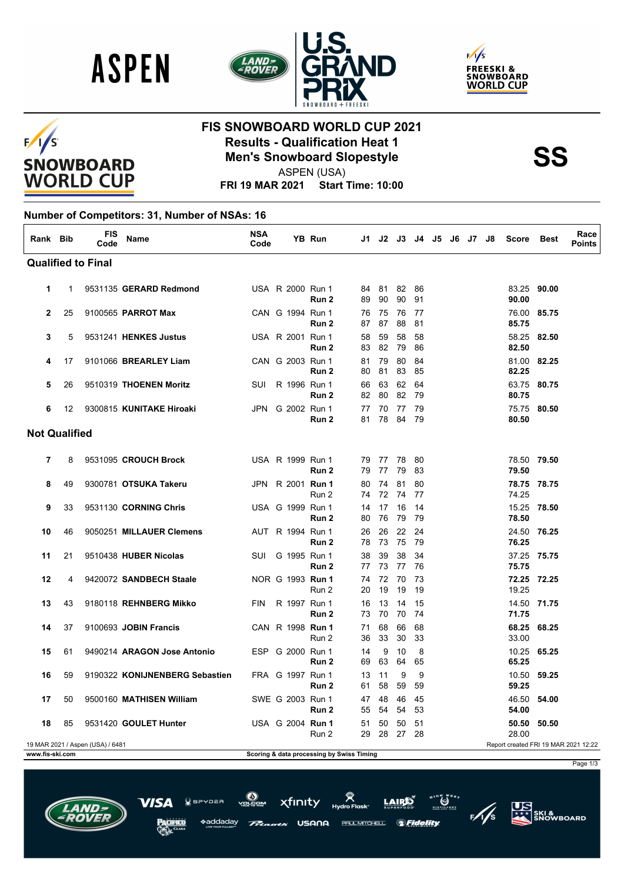





### $F/1/S$ **SNOWBOARD WORLD CUP**

# **FIS SNOWBOARD WORLD CUP 2021 Results - Qualification Heat 1<br>
Men's Snowboard Slopestyle<br>
ASPEN (USA)**

Page 1/3

**US**<br>ATT SKI &<br>SNOWBOARD

 $\bigcirc$   $\bigcirc$   $\bigcirc$ 

*SFidelity* 

ASPEN (USA)

**FRI 19 MAR 2021 Start Time: 10:00**

#### **Number of Competitors: 31, Number of NSAs: 16**

| Rank Bib             |    | <b>FIS</b><br>Code               | Name                           | NSA<br>Code |                     | YB Run |                                           |             | J1 J2 J3 J4    |          | J5 J6 J7 |  | J8 | <b>Score</b>         | <b>Best</b> | Race<br><b>Points</b>                |
|----------------------|----|----------------------------------|--------------------------------|-------------|---------------------|--------|-------------------------------------------|-------------|----------------|----------|----------|--|----|----------------------|-------------|--------------------------------------|
|                      |    | <b>Qualified to Final</b>        |                                |             |                     |        |                                           |             |                |          |          |  |    |                      |             |                                      |
| 1                    | 1  |                                  | 9531135 GERARD Redmond         |             | USA R 2000 Run 1    | Run 2  | 84<br>89                                  | 90          | 81 82<br>90    | 86<br>91 |          |  |    | 83.25 90.00<br>90.00 |             |                                      |
| $\mathbf{2}$         | 25 |                                  | 9100565 PARROT Max             |             | CAN G 1994 Run 1    | Run 2  | 76<br>87                                  | 75<br>87    | 76<br>88       | 77<br>81 |          |  |    | 76.00<br>85.75       | 85.75       |                                      |
| 3                    | 5  |                                  | 9531241 HENKES Justus          |             | USA R 2001 Run 1    | Run 2  | 58<br>83                                  | 59<br>82    | 58<br>79       | 58<br>86 |          |  |    | 58.25 82.50<br>82.50 |             |                                      |
| 4                    | 17 |                                  | 9101066 BREARLEY Liam          |             | CAN G 2003 Run 1    | Run 2  | 81<br>80                                  | 79<br>81    | 80<br>83       | 84<br>85 |          |  |    | 81.00 82.25<br>82.25 |             |                                      |
| 5                    | 26 |                                  | 9510319 THOENEN Moritz         | <b>SUI</b>  | R 1996 Run 1        | Run 2  | 66<br>82                                  | 63<br>80    | 62<br>82       | 64<br>79 |          |  |    | 63.75 80.75<br>80.75 |             |                                      |
| 6                    | 12 |                                  | 9300815 KUNITAKE Hiroaki       |             | JPN G 2002 Run 1    | Run 2  | 77<br>81                                  | 70<br>78    | -77<br>84      | 79<br>79 |          |  |    | 75.75 80.50<br>80.50 |             |                                      |
| <b>Not Qualified</b> |    |                                  |                                |             |                     |        |                                           |             |                |          |          |  |    |                      |             |                                      |
| 7                    | 8  |                                  | 9531095 CROUCH Brock           |             | USA R 1999 Run 1    | Run 2  | 79<br>79                                  | 77 78<br>77 | 79             | 80<br>83 |          |  |    | 78.50 79.50<br>79.50 |             |                                      |
| 8                    | 49 |                                  | 9300781 OTSUKA Takeru          | JPN         | R 2001 <b>Run 1</b> | Run 2  | 80<br>74                                  | 74          | 81<br>72 74    | 80<br>77 |          |  |    | 78.75 78.75<br>74.25 |             |                                      |
| 9                    | 33 |                                  | 9531130 CORNING Chris          |             | USA G 1999 Run 1    | Run 2  | 14<br>80                                  | 17<br>76    | 16<br>79       | 14<br>79 |          |  |    | 15.25 78.50<br>78.50 |             |                                      |
| 10                   | 46 |                                  | 9050251 MILLAUER Clemens       |             | AUT R 1994 Run 1    | Run 2  | 26<br>78                                  | 26<br>73    | 22<br>75       | 24<br>79 |          |  |    | 24.50 76.25<br>76.25 |             |                                      |
| 11                   | 21 |                                  | 9510438 HUBER Nicolas          | <b>SUI</b>  | G 1995 Run 1        | Run 2  | 38<br>77                                  | 39<br>73    | 38<br>77       | 34<br>76 |          |  |    | 37.25 75.75<br>75.75 |             |                                      |
| 12                   | 4  |                                  | 9420072 SANDBECH Staale        |             | NOR G 1993 Run 1    | Run 2  | 74<br>20                                  | 72<br>19    | 70<br>19       | 73<br>19 |          |  |    | 72.25 72.25<br>19.25 |             |                                      |
| 13                   | 43 |                                  | 9180118 REHNBERG Mikko         | FIN         | R 1997 Run 1        | Run 2  | 16<br>73                                  | 13<br>70    | 14<br>70       | 15<br>74 |          |  |    | 14.50 71.75<br>71.75 |             |                                      |
| 14                   | 37 |                                  | 9100693 JOBIN Francis          |             | CAN R 1998 Run 1    | Run 2  | 71<br>36                                  | 68<br>33    | 66<br>30       | 68<br>33 |          |  |    | 68.25 68.25<br>33.00 |             |                                      |
| 15                   | 61 |                                  | 9490214 ARAGON Jose Antonio    | <b>ESP</b>  | G 2000 Run 1        | Run 2  | 14<br>69                                  | 9<br>63     | 10<br>64       | 8<br>65  |          |  |    | 10.25<br>65.25       | 65.25       |                                      |
| 16                   | 59 |                                  | 9190322 KONIJNENBERG Sebastien |             | FRA G 1997 Run 1    | Run 2  | 13<br>61                                  | 11<br>58    | 9<br>59        | 9<br>59  |          |  |    | 10.50<br>59.25       | 59.25       |                                      |
| 17                   | 50 |                                  | 9500160 MATHISEN William       |             | SWE G 2003 Run 1    | Run 2  | 47<br>55                                  | 48<br>54    | 46<br>54       | 45<br>53 |          |  |    | 46.50<br>54.00       | 54.00       |                                      |
| 18                   | 85 |                                  | 9531420 GOULET Hunter          |             | USA G 2004 Run 1    | Run 2  | 51                                        | 50          | 50<br>29 28 27 | 51<br>28 |          |  |    | 50.50<br>28.00       | 50.50       |                                      |
| www.fis-ski.com      |    | 19 MAR 2021 / Aspen (USA) / 6481 |                                |             |                     |        | Scoring & data processing by Swiss Timing |             |                |          |          |  |    |                      |             | Report created FRI 19 MAR 2021 12:22 |

xfinity

USANA

PAUL MITCHELL.

 $n = -$ 

\*addadav

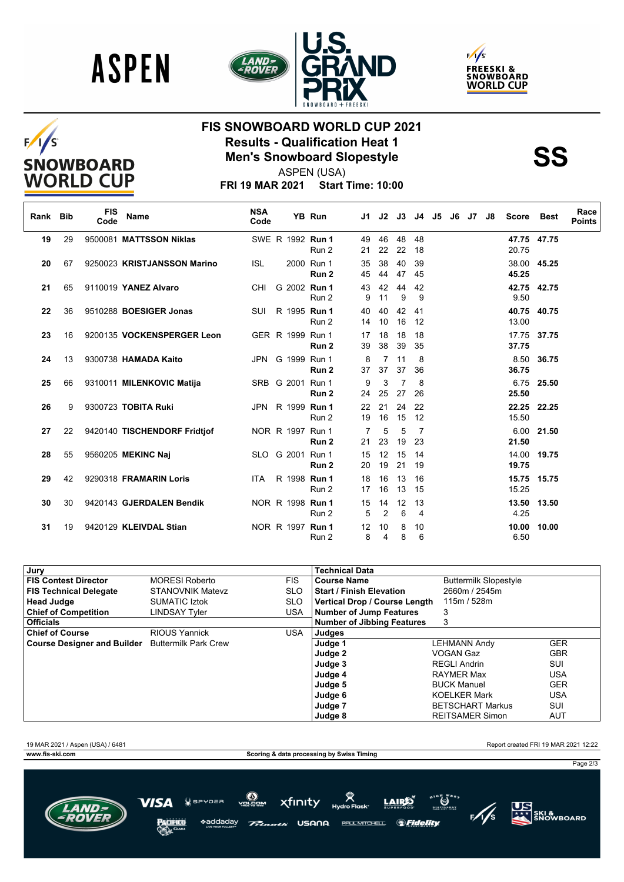







## **FIS SNOWBOARD WORLD CUP 2021 Results - Qualification Heat 1<br>
Men's Snowboard Slopestyle<br>
ASPEN (USA)**

ASPEN (USA)

**FRI 19 MAR 2021 Start Time: 10:00**

| Rank Bib |    | <b>FIS</b><br>Code | Name                         | <b>NSA</b><br>Code |                  | YB Run                         | J1       | J2                   | J3       | J4                   | J5 | J6 | J7 | J8 | Score                | Best        | Race<br><b>Points</b> |
|----------|----|--------------------|------------------------------|--------------------|------------------|--------------------------------|----------|----------------------|----------|----------------------|----|----|----|----|----------------------|-------------|-----------------------|
| 19       | 29 |                    | 9500081 MATTSSON Niklas      |                    | SWE R 1992 Run 1 | Run 2                          | 49<br>21 | 46<br>22             | 48<br>22 | 48<br>18             |    |    |    |    | 47.75 47.75<br>20.75 |             |                       |
| 20       | 67 |                    | 9250023 KRISTJANSSON Marino  | <b>ISL</b>         |                  | 2000 Run 1<br>Run <sub>2</sub> | 35<br>45 | 38<br>44             | 40<br>47 | 39<br>45             |    |    |    |    | 45.25                | 38.00 45.25 |                       |
| 21       | 65 |                    | 9110019 YANEZ Alvaro         | CHI                | G 2002 Run 1     | Run 2                          | 43<br>9  | 42<br>11             | 44<br>9  | 42<br>9              |    |    |    |    | 9.50                 | 42.75 42.75 |                       |
| 22       | 36 |                    | 9510288 BOESIGER Jonas       | <b>SUI</b>         | R 1995 Run 1     | Run 2                          | 40<br>14 | 40<br>10             | 42<br>16 | 41<br>12             |    |    |    |    | 40.75 40.75<br>13.00 |             |                       |
| 23       | 16 |                    | 9200135 VOCKENSPERGER Leon   |                    | GER R 1999 Run 1 | Run <sub>2</sub>               | 17<br>39 | 18<br>38             | 18<br>39 | 18<br>35             |    |    |    |    | 17.75<br>37.75       | 37.75       |                       |
| 24       | 13 |                    | 9300738 HAMADA Kaito         | JPN                | G 1999 Run 1     | Run 2                          | 8<br>37  | $\overline{7}$<br>37 | 11<br>37 | 8<br>36              |    |    |    |    | 8.50<br>36.75        | 36.75       |                       |
| 25       | 66 |                    | 9310011 MILENKOVIC Matija    |                    | SRB G 2001 Run 1 | Run 2                          | 9<br>24  | 3<br>25              | 7<br>27  | 8<br>26              |    |    |    |    | 25.50                | 6.75 25.50  |                       |
| 26       | 9  |                    | 9300723 TOBITA Ruki          |                    | JPN R 1999 Run 1 | Run 2                          | 22<br>19 | 21<br>16             | 24<br>15 | 22<br>12             |    |    |    |    | 15.50                | 22.25 22.25 |                       |
| 27       | 22 |                    | 9420140 TISCHENDORF Fridtjof |                    | NOR R 1997 Run 1 | Run 2                          | 7<br>21  | 5<br>23              | 5<br>19  | 7<br>23              |    |    |    |    | 6.00<br>21.50        | 21.50       |                       |
| 28       | 55 |                    | 9560205 MEKINC Naj           |                    | SLO G 2001 Run 1 | Run 2                          | 15<br>20 | 12<br>19             | 15<br>21 | 14<br>19             |    |    |    |    | 19.75                | 14.00 19.75 |                       |
| 29       | 42 |                    | 9290318 FRAMARIN Loris       | ITA.               | R 1998 Run 1     | Run 2                          | 18<br>17 | 16<br>16             | 13<br>13 | 16<br>15             |    |    |    |    | 15.75<br>15.25       | 15.75       |                       |
| 30       | 30 |                    | 9420143 GJERDALEN Bendik     |                    | NOR R 1998 Run 1 | Run 2                          | 15<br>5  | 14<br>2              | 12<br>6  | 13<br>$\overline{4}$ |    |    |    |    | 13.50<br>4.25        | 13.50       |                       |
| 31       | 19 |                    | 9420129 KLEIVDAL Stian       |                    | NOR R 1997 Run 1 | Run 2                          | 12<br>8  | 10<br>4              | 8<br>8   | 10<br>6              |    |    |    |    | 10.00<br>6.50        | 10.00       |                       |

| Jury                               |                             |            | <b>Technical Data</b>             |                              |            |
|------------------------------------|-----------------------------|------------|-----------------------------------|------------------------------|------------|
| <b>FIS Contest Director</b>        | <b>MORESI Roberto</b>       | <b>FIS</b> | <b>Course Name</b>                | <b>Buttermilk Slopestyle</b> |            |
| <b>FIS Technical Delegate</b>      | <b>STANOVNIK Matevz</b>     | <b>SLO</b> | <b>Start / Finish Elevation</b>   | 2660m / 2545m                |            |
| <b>Head Judge</b>                  | <b>SUMATIC Iztok</b>        | <b>SLO</b> | Vertical Drop / Course Length     | 115m / 528m                  |            |
| <b>Chief of Competition</b>        | LINDSAY Tvler               | <b>USA</b> | <b>Number of Jump Features</b>    | 3                            |            |
| <b>Officials</b>                   |                             |            | <b>Number of Jibbing Features</b> | 3                            |            |
| <b>Chief of Course</b>             | <b>RIOUS Yannick</b>        | <b>USA</b> | Judges                            |                              |            |
| <b>Course Designer and Builder</b> | <b>Buttermilk Park Crew</b> |            | Judge 1                           | <b>LEHMANN Andy</b>          | <b>GER</b> |
|                                    |                             |            | Judge 2                           | VOGAN Gaz                    | <b>GBR</b> |
|                                    |                             |            | Judge 3                           | <b>REGLI Andrin</b>          | SUI        |
|                                    |                             |            | Judge 4                           | <b>RAYMER Max</b>            | <b>USA</b> |
|                                    |                             |            | Judge 5                           | <b>BUCK Manuel</b>           | <b>GER</b> |
|                                    |                             |            | Judge 6                           | <b>KOELKER Mark</b>          | <b>USA</b> |
|                                    |                             |            | Judge 7                           | <b>BETSCHART Markus</b>      | SUI        |
|                                    |                             |            | Judge 8                           | <b>REITSAMER Simon</b>       | <b>AUT</b> |